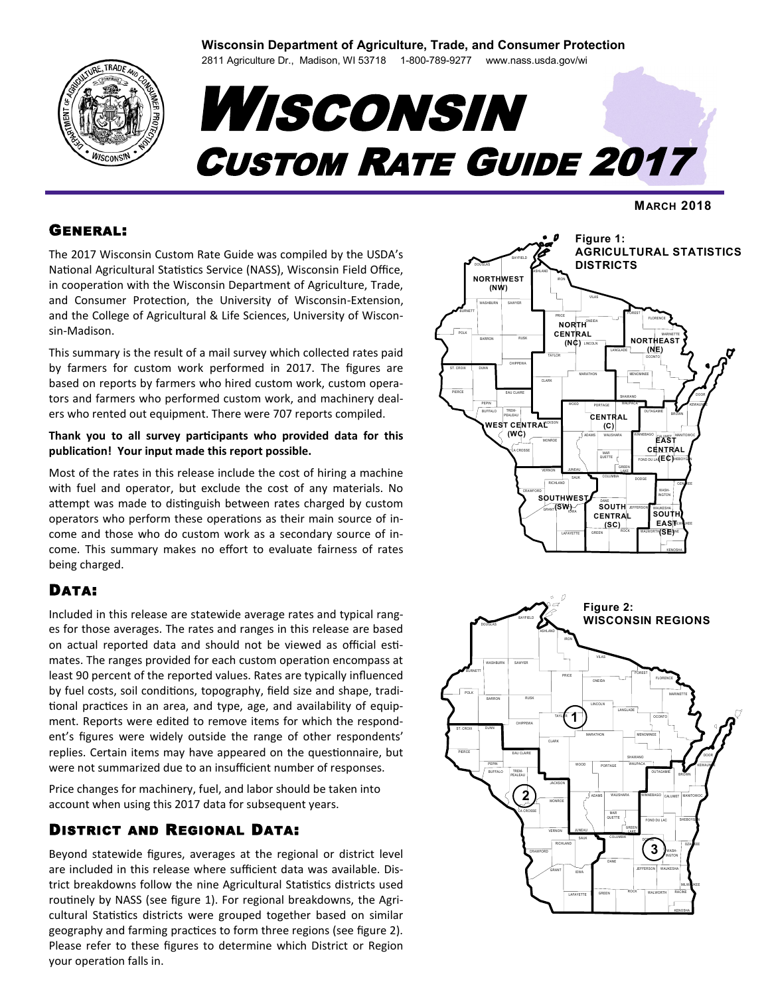#### **Wisconsin Department of Agriculture, Trade, and Consumer Protection**

2811 Agriculture Dr., Madison, WI 53718 1-800-789-9277 www.nass.usda.gov/wi

# **WISCONSIN** CUSTOM RATE GUIDE 2017

**MARCH 2018**

#### GENERAL:

The 2017 Wisconsin Custom Rate Guide was compiled by the USDA's National Agricultural Statistics Service (NASS), Wisconsin Field Office, in cooperation with the Wisconsin Department of Agriculture, Trade, and Consumer Protection, the University of Wisconsin-Extension, and the College of Agricultural & Life Sciences, University of Wisconsin-Madison.

This summary is the result of a mail survey which collected rates paid by farmers for custom work performed in 2017. The figures are based on reports by farmers who hired custom work, custom operators and farmers who performed custom work, and machinery dealers who rented out equipment. There were 707 reports compiled.

#### **Thank you to all survey participants who provided data for this publication! Your input made this report possible.**

Most of the rates in this release include the cost of hiring a machine with fuel and operator, but exclude the cost of any materials. No attempt was made to distinguish between rates charged by custom operators who perform these operations as their main source of income and those who do custom work as a secondary source of income. This summary makes no effort to evaluate fairness of rates being charged.

# DATA:

Included in this release are statewide average rates and typical ranges for those averages. The rates and ranges in this release are based on actual reported data and should not be viewed as official estimates. The ranges provided for each custom operation encompass at least 90 percent of the reported values. Rates are typically influenced by fuel costs, soil conditions, topography, field size and shape, traditional practices in an area, and type, age, and availability of equipment. Reports were edited to remove items for which the respondent's figures were widely outside the range of other respondents' replies. Certain items may have appeared on the questionnaire, but were not summarized due to an insufficient number of responses.

Price changes for machinery, fuel, and labor should be taken into account when using this 2017 data for subsequent years.

# DISTRICT AND REGIONAL DATA:

Beyond statewide figures, averages at the regional or district level are included in this release where sufficient data was available. District breakdowns follow the nine Agricultural Statistics districts used routinely by NASS (see figure 1). For regional breakdowns, the Agricultural Statistics districts were grouped together based on similar geography and farming practices to form three regions (see figure 2). Please refer to these figures to determine which District or Region



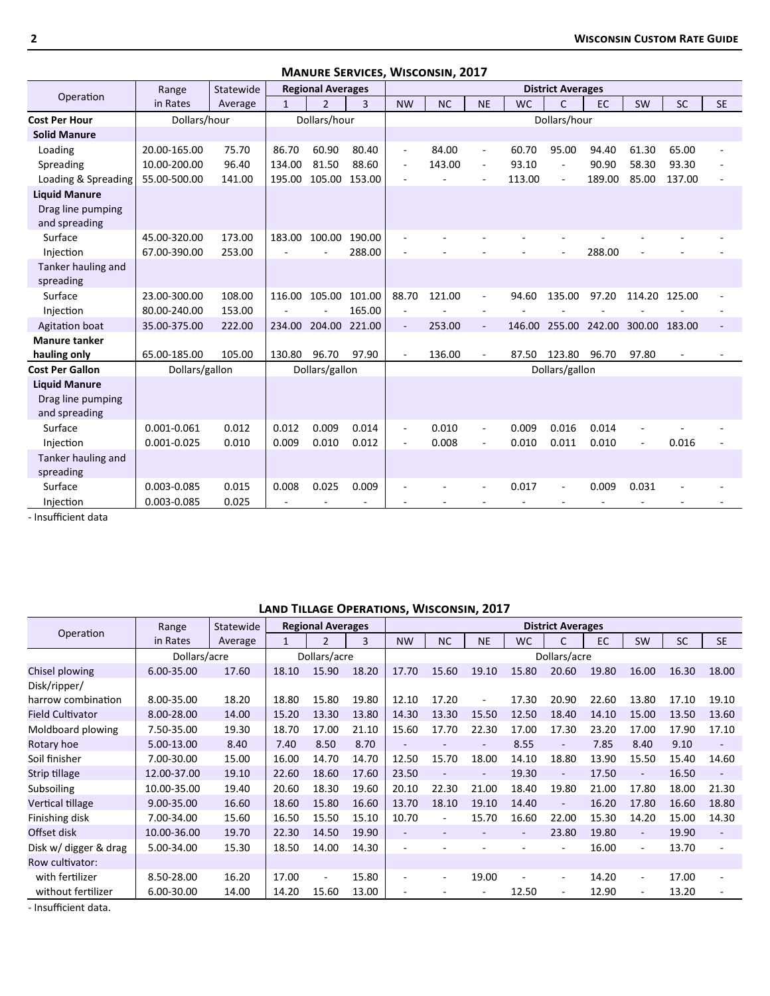|                        | Range           | Statewide |              | <b>Regional Averages</b> |        |                          |           |                             |           | <b>District Averages</b> |        |        |        |           |
|------------------------|-----------------|-----------|--------------|--------------------------|--------|--------------------------|-----------|-----------------------------|-----------|--------------------------|--------|--------|--------|-----------|
| Operation              | in Rates        | Average   | $\mathbf{1}$ | $\overline{2}$           | 3      | <b>NW</b>                | <b>NC</b> | <b>NE</b>                   | <b>WC</b> | $\mathsf{C}$             | EC     | SW     | SC     | <b>SE</b> |
| <b>Cost Per Hour</b>   | Dollars/hour    |           |              | Dollars/hour             |        |                          |           |                             |           | Dollars/hour             |        |        |        |           |
| <b>Solid Manure</b>    |                 |           |              |                          |        |                          |           |                             |           |                          |        |        |        |           |
| Loading                | 20.00-165.00    | 75.70     | 86.70        | 60.90                    | 80.40  | $\overline{\phantom{a}}$ | 84.00     | $\overline{\phantom{a}}$    | 60.70     | 95.00                    | 94.40  | 61.30  | 65.00  |           |
| Spreading              | 10.00-200.00    | 96.40     | 134.00       | 81.50                    | 88.60  | $\overline{\phantom{a}}$ | 143.00    | $\overline{\phantom{a}}$    | 93.10     | $\overline{\phantom{a}}$ | 90.90  | 58.30  | 93.30  |           |
| Loading & Spreading    | 55.00-500.00    | 141.00    | 195.00       | 105.00                   | 153.00 |                          |           |                             | 113.00    | $\overline{\phantom{a}}$ | 189.00 | 85.00  | 137.00 |           |
| <b>Liquid Manure</b>   |                 |           |              |                          |        |                          |           |                             |           |                          |        |        |        |           |
| Drag line pumping      |                 |           |              |                          |        |                          |           |                             |           |                          |        |        |        |           |
| and spreading          |                 |           |              |                          |        |                          |           |                             |           |                          |        |        |        |           |
| Surface                | 45.00-320.00    | 173.00    | 183.00       | 100.00                   | 190.00 |                          |           |                             |           |                          |        |        |        |           |
| Injection              | 67.00-390.00    | 253.00    |              |                          | 288.00 | $\overline{\phantom{a}}$ |           |                             |           | $\sim$                   | 288.00 |        |        |           |
| Tanker hauling and     |                 |           |              |                          |        |                          |           |                             |           |                          |        |        |        |           |
| spreading              |                 |           |              |                          |        |                          |           |                             |           |                          |        |        |        |           |
| Surface                | 23.00-300.00    | 108.00    | 116.00       | 105.00                   | 101.00 | 88.70                    | 121.00    | $\overline{\phantom{a}}$    | 94.60     | 135.00                   | 97.20  | 114.20 | 125.00 |           |
| Injection              | 80.00-240.00    | 153.00    |              |                          | 165.00 |                          |           |                             |           |                          |        |        |        |           |
| Agitation boat         | 35.00-375.00    | 222.00    | 234.00       | 204.00                   | 221.00 |                          | 253.00    | $\blacksquare$              | 146.00    | 255.00                   | 242.00 | 300.00 | 183.00 |           |
| <b>Manure tanker</b>   |                 |           |              |                          |        |                          |           |                             |           |                          |        |        |        |           |
| hauling only           | 65.00-185.00    | 105.00    | 130.80       | 96.70                    | 97.90  | $\overline{\phantom{a}}$ | 136.00    |                             | 87.50     | 123.80                   | 96.70  | 97.80  |        |           |
| <b>Cost Per Gallon</b> | Dollars/gallon  |           |              | Dollars/gallon           |        |                          |           |                             |           | Dollars/gallon           |        |        |        |           |
| <b>Liquid Manure</b>   |                 |           |              |                          |        |                          |           |                             |           |                          |        |        |        |           |
| Drag line pumping      |                 |           |              |                          |        |                          |           |                             |           |                          |        |        |        |           |
| and spreading          |                 |           |              |                          |        |                          |           |                             |           |                          |        |        |        |           |
| Surface                | 0.001-0.061     | 0.012     | 0.012        | 0.009                    | 0.014  | $\overline{\phantom{a}}$ | 0.010     | $\mathcal{L}_{\mathcal{A}}$ | 0.009     | 0.016                    | 0.014  | ÷,     |        |           |
| Injection              | $0.001 - 0.025$ | 0.010     | 0.009        | 0.010                    | 0.012  |                          | 0.008     |                             | 0.010     | 0.011                    | 0.010  |        | 0.016  |           |
| Tanker hauling and     |                 |           |              |                          |        |                          |           |                             |           |                          |        |        |        |           |
| spreading              |                 |           |              |                          |        |                          |           |                             |           |                          |        |        |        |           |
| Surface                | 0.003-0.085     | 0.015     | 0.008        | 0.025                    | 0.009  |                          |           |                             | 0.017     | $\sim$                   | 0.009  | 0.031  |        |           |
| Injection              | 0.003-0.085     | 0.025     |              |                          |        |                          |           |                             |           |                          |        |        |        |           |

**Manure Services, Wisconsin, 2017**

- Insufficient data

#### **Land Tillage Operations, Wisconsin, 2017**

|                         | Range        | Statewide |       | <b>Regional Averages</b> |       |                          |                          |           |                          | <b>District Averages</b> |       |           |           |                |
|-------------------------|--------------|-----------|-------|--------------------------|-------|--------------------------|--------------------------|-----------|--------------------------|--------------------------|-------|-----------|-----------|----------------|
| Operation               | in Rates     | Average   |       | $\overline{2}$           | 3     | <b>NW</b>                | <b>NC</b>                | <b>NE</b> | <b>WC</b>                | C                        | EC    | <b>SW</b> | <b>SC</b> | <b>SE</b>      |
|                         | Dollars/acre |           |       | Dollars/acre             |       |                          |                          |           |                          | Dollars/acre             |       |           |           |                |
| Chisel plowing          | 6.00-35.00   | 17.60     | 18.10 | 15.90                    | 18.20 | 17.70                    | 15.60                    | 19.10     | 15.80                    | 20.60                    | 19.80 | 16.00     | 16.30     | 18.00          |
| Disk/ripper/            |              |           |       |                          |       |                          |                          |           |                          |                          |       |           |           |                |
| harrow combination      | 8.00-35.00   | 18.20     | 18.80 | 15.80                    | 19.80 | 12.10                    | 17.20                    |           | 17.30                    | 20.90                    | 22.60 | 13.80     | 17.10     | 19.10          |
| <b>Field Cultivator</b> | 8.00-28.00   | 14.00     | 15.20 | 13.30                    | 13.80 | 14.30                    | 13.30                    | 15.50     | 12.50                    | 18.40                    | 14.10 | 15.00     | 13.50     | 13.60          |
| Moldboard plowing       | 7.50-35.00   | 19.30     | 18.70 | 17.00                    | 21.10 | 15.60                    | 17.70                    | 22.30     | 17.00                    | 17.30                    | 23.20 | 17.00     | 17.90     | 17.10          |
| Rotary hoe              | 5.00-13.00   | 8.40      | 7.40  | 8.50                     | 8.70  |                          |                          |           | 8.55                     | ٠                        | 7.85  | 8.40      | 9.10      |                |
| Soil finisher           | 7.00-30.00   | 15.00     | 16.00 | 14.70                    | 14.70 | 12.50                    | 15.70                    | 18.00     | 14.10                    | 18.80                    | 13.90 | 15.50     | 15.40     | 14.60          |
| Strip tillage           | 12.00-37.00  | 19.10     | 22.60 | 18.60                    | 17.60 | 23.50                    |                          |           | 19.30                    | $\overline{\phantom{a}}$ | 17.50 | $\sim$    | 16.50     |                |
| Subsoiling              | 10.00-35.00  | 19.40     | 20.60 | 18.30                    | 19.60 | 20.10                    | 22.30                    | 21.00     | 18.40                    | 19.80                    | 21.00 | 17.80     | 18.00     | 21.30          |
| Vertical tillage        | 9.00-35.00   | 16.60     | 18.60 | 15.80                    | 16.60 | 13.70                    | 18.10                    | 19.10     | 14.40                    | $\overline{\phantom{a}}$ | 16.20 | 17.80     | 16.60     | 18.80          |
| Finishing disk          | 7.00-34.00   | 15.60     | 16.50 | 15.50                    | 15.10 | 10.70                    |                          | 15.70     | 16.60                    | 22.00                    | 15.30 | 14.20     | 15.00     | 14.30          |
| Offset disk             | 10.00-36.00  | 19.70     | 22.30 | 14.50                    | 19.90 | $\overline{\phantom{a}}$ |                          |           | $\overline{\phantom{a}}$ | 23.80                    | 19.80 | $\sim$    | 19.90     | $\overline{a}$ |
| Disk w/ digger & drag   | 5.00-34.00   | 15.30     | 18.50 | 14.00                    | 14.30 |                          |                          |           |                          | ٠                        | 16.00 | $\sim$    | 13.70     | ٠              |
| Row cultivator:         |              |           |       |                          |       |                          |                          |           |                          |                          |       |           |           |                |
| with fertilizer         | 8.50-28.00   | 16.20     | 17.00 | $\overline{\phantom{a}}$ | 15.80 | ٠                        | $\overline{\phantom{a}}$ | 19.00     |                          | $\sim$                   | 14.20 | $\sim$    | 17.00     |                |
| without fertilizer      | 6.00-30.00   | 14.00     | 14.20 | 15.60                    | 13.00 |                          |                          |           | 12.50                    | ۰                        | 12.90 |           | 13.20     |                |

- Insufficient data.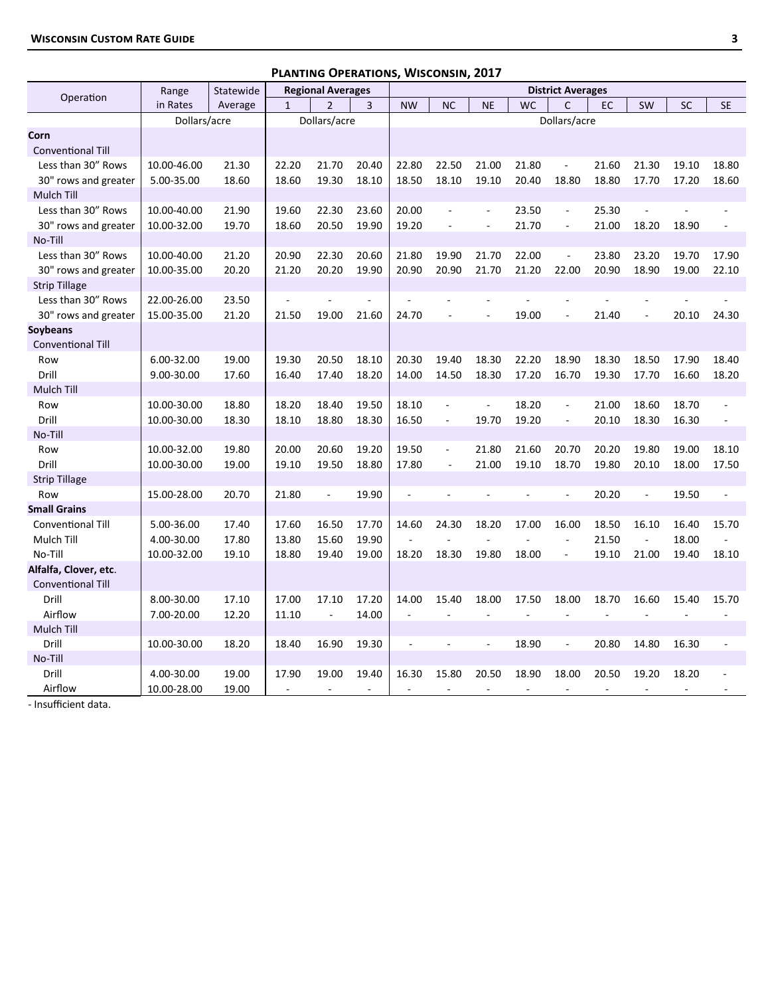| Operation                        | Range<br>in Rates | Statewide |              | <b>Regional Averages</b> |                |                          |                          |                          | <b>WC</b> | <b>District Averages</b><br>$\mathsf{C}$ | <b>EC</b> |                          | <b>SC</b> |                          |
|----------------------------------|-------------------|-----------|--------------|--------------------------|----------------|--------------------------|--------------------------|--------------------------|-----------|------------------------------------------|-----------|--------------------------|-----------|--------------------------|
|                                  |                   | Average   | $\mathbf{1}$ | $\overline{2}$           | $\overline{3}$ | <b>NW</b>                | <b>NC</b>                | <b>NE</b>                |           |                                          |           | <b>SW</b>                |           | <b>SE</b>                |
|                                  | Dollars/acre      |           |              | Dollars/acre             |                |                          |                          |                          |           | Dollars/acre                             |           |                          |           |                          |
| Corn<br><b>Conventional Till</b> |                   |           |              |                          |                |                          |                          |                          |           |                                          |           |                          |           |                          |
| Less than 30" Rows               | 10.00-46.00       | 21.30     | 22.20        | 21.70                    | 20.40          | 22.80                    | 22.50                    | 21.00                    | 21.80     | ÷,                                       | 21.60     | 21.30                    | 19.10     | 18.80                    |
| 30" rows and greater             | 5.00-35.00        | 18.60     | 18.60        | 19.30                    | 18.10          | 18.50                    | 18.10                    | 19.10                    | 20.40     | 18.80                                    | 18.80     | 17.70                    | 17.20     | 18.60                    |
| <b>Mulch Till</b>                |                   |           |              |                          |                |                          |                          |                          |           |                                          |           |                          |           |                          |
| Less than 30" Rows               | 10.00-40.00       | 21.90     | 19.60        | 22.30                    | 23.60          | 20.00                    | L.                       | $\blacksquare$           | 23.50     | $\Box$                                   | 25.30     |                          |           |                          |
| 30" rows and greater             | 10.00-32.00       | 19.70     | 18.60        | 20.50                    | 19.90          | 19.20                    | L.                       | L.                       | 21.70     | $\overline{\phantom{a}}$                 | 21.00     | 18.20                    | 18.90     |                          |
| No-Till                          |                   |           |              |                          |                |                          |                          |                          |           |                                          |           |                          |           |                          |
| Less than 30" Rows               | 10.00-40.00       | 21.20     | 20.90        | 22.30                    | 20.60          | 21.80                    | 19.90                    | 21.70                    | 22.00     | $\overline{\phantom{a}}$                 | 23.80     | 23.20                    | 19.70     | 17.90                    |
| 30" rows and greater             | 10.00-35.00       | 20.20     | 21.20        | 20.20                    | 19.90          | 20.90                    | 20.90                    | 21.70                    | 21.20     | 22.00                                    | 20.90     | 18.90                    | 19.00     | 22.10                    |
| <b>Strip Tillage</b>             |                   |           |              |                          |                |                          |                          |                          |           |                                          |           |                          |           |                          |
| Less than 30" Rows               | 22.00-26.00       | 23.50     |              |                          |                |                          |                          |                          |           | ä,                                       |           | L,                       |           |                          |
| 30" rows and greater             | 15.00-35.00       | 21.20     | 21.50        | 19.00                    | 21.60          | 24.70                    | ÷,                       | ÷,                       | 19.00     | L.                                       | 21.40     | $\overline{\phantom{a}}$ | 20.10     | 24.30                    |
| <b>Soybeans</b>                  |                   |           |              |                          |                |                          |                          |                          |           |                                          |           |                          |           |                          |
| <b>Conventional Till</b>         |                   |           |              |                          |                |                          |                          |                          |           |                                          |           |                          |           |                          |
| Row                              | 6.00-32.00        | 19.00     | 19.30        | 20.50                    | 18.10          | 20.30                    | 19.40                    | 18.30                    | 22.20     | 18.90                                    | 18.30     | 18.50                    | 17.90     | 18.40                    |
| Drill                            | 9.00-30.00        | 17.60     | 16.40        | 17.40                    | 18.20          | 14.00                    | 14.50                    | 18.30                    | 17.20     | 16.70                                    | 19.30     | 17.70                    | 16.60     | 18.20                    |
| Mulch Till                       |                   |           |              |                          |                |                          |                          |                          |           |                                          |           |                          |           |                          |
| Row                              | 10.00-30.00       | 18.80     | 18.20        | 18.40                    | 19.50          | 18.10                    | $\overline{\phantom{a}}$ | $\omega$                 | 18.20     | $\Box$                                   | 21.00     | 18.60                    | 18.70     |                          |
| Drill                            | 10.00-30.00       | 18.30     | 18.10        | 18.80                    | 18.30          | 16.50                    | $\blacksquare$           | 19.70                    | 19.20     | $\overline{\phantom{a}}$                 | 20.10     | 18.30                    | 16.30     | $\overline{a}$           |
| No-Till                          |                   |           |              |                          |                |                          |                          |                          |           |                                          |           |                          |           |                          |
| Row                              | 10.00-32.00       | 19.80     | 20.00        | 20.60                    | 19.20          | 19.50                    | $\overline{\phantom{a}}$ | 21.80                    | 21.60     | 20.70                                    | 20.20     | 19.80                    | 19.00     | 18.10                    |
| Drill                            | 10.00-30.00       | 19.00     | 19.10        | 19.50                    | 18.80          | 17.80                    | L.                       | 21.00                    | 19.10     | 18.70                                    | 19.80     | 20.10                    | 18.00     | 17.50                    |
| <b>Strip Tillage</b>             |                   |           |              |                          |                |                          |                          |                          |           |                                          |           |                          |           |                          |
| Row                              | 15.00-28.00       | 20.70     | 21.80        | ÷,                       | 19.90          | L.                       |                          |                          |           | ÷,                                       | 20.20     | $\Box$                   | 19.50     | $\overline{\phantom{a}}$ |
| <b>Small Grains</b>              |                   |           |              |                          |                |                          |                          |                          |           |                                          |           |                          |           |                          |
| Conventional Till                | 5.00-36.00        | 17.40     | 17.60        | 16.50                    | 17.70          | 14.60                    | 24.30                    | 18.20                    | 17.00     | 16.00                                    | 18.50     | 16.10                    | 16.40     | 15.70                    |
| Mulch Till                       | 4.00-30.00        | 17.80     | 13.80        | 15.60                    | 19.90          |                          |                          | L.                       |           | $\overline{a}$                           | 21.50     | $\omega$                 | 18.00     | $\sim$                   |
| No-Till                          | 10.00-32.00       | 19.10     | 18.80        | 19.40                    | 19.00          | 18.20                    | 18.30                    | 19.80                    | 18.00     | $\overline{\phantom{a}}$                 | 19.10     | 21.00                    | 19.40     | 18.10                    |
| Alfalfa, Clover, etc.            |                   |           |              |                          |                |                          |                          |                          |           |                                          |           |                          |           |                          |
| <b>Conventional Till</b>         |                   |           |              |                          |                |                          |                          |                          |           |                                          |           |                          |           |                          |
| Drill                            | 8.00-30.00        | 17.10     | 17.00        | 17.10                    | 17.20          | 14.00                    | 15.40                    | 18.00                    | 17.50     | 18.00                                    | 18.70     | 16.60                    | 15.40     | 15.70                    |
| Airflow                          | 7.00-20.00        | 12.20     | 11.10        | L.                       | 14.00          | L.                       |                          | L.                       |           | L.                                       |           | L.                       |           |                          |
| <b>Mulch Till</b>                |                   |           |              |                          |                |                          |                          |                          |           |                                          |           |                          |           |                          |
| Drill                            | 10.00-30.00       | 18.20     | 18.40        | 16.90                    | 19.30          | $\overline{\phantom{a}}$ |                          | $\overline{\phantom{a}}$ | 18.90     | $\overline{\phantom{a}}$                 | 20.80     | 14.80                    | 16.30     | $\blacksquare$           |
| No-Till                          |                   |           |              |                          |                |                          |                          |                          |           |                                          |           |                          |           |                          |
| Drill                            | 4.00-30.00        | 19.00     | 17.90        | 19.00                    | 19.40          | 16.30                    | 15.80                    | 20.50                    | 18.90     | 18.00                                    | 20.50     | 19.20                    | 18.20     |                          |
| Airflow                          | 10.00-28.00       | 19.00     | $\sim$       | $\sim$                   | ÷,             | $\sim$                   | ÷,                       | $\sim$                   | $\sim$    | $\sim$                                   | ÷,        | L.                       | L.        |                          |

#### **Planting Operations, Wisconsin, 2017**

- Insufficient data.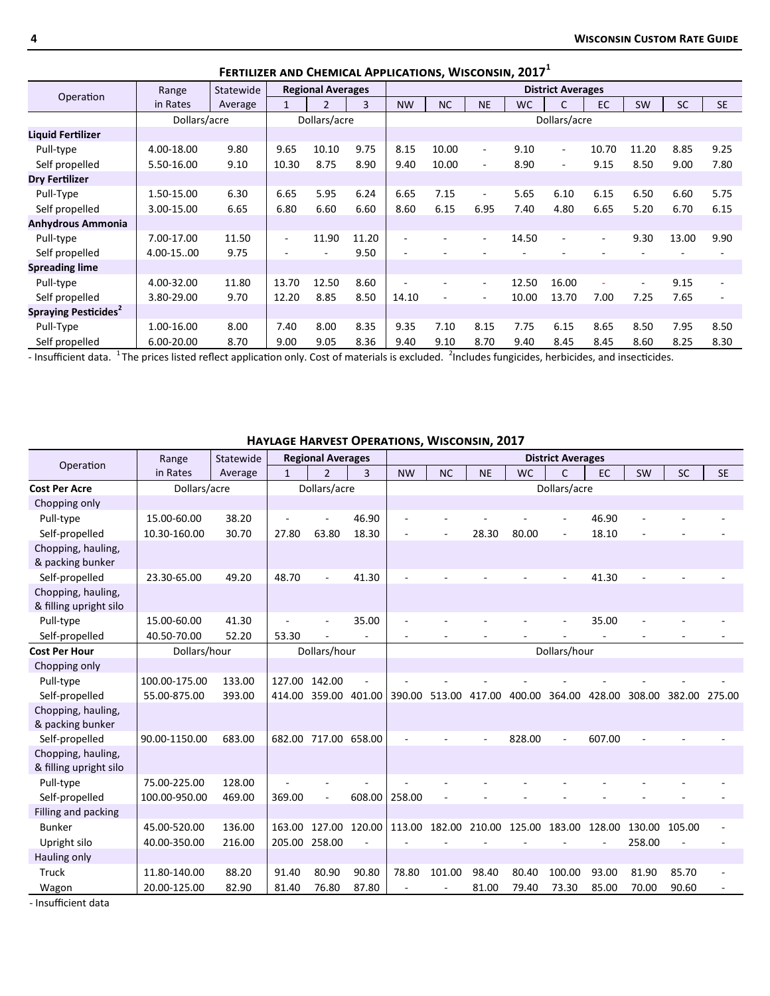|                                  | Range        | Statewide |                          | <b>Regional Averages</b> |                |                |           |           |           | <b>District Averages</b> |                          |           |           |           |
|----------------------------------|--------------|-----------|--------------------------|--------------------------|----------------|----------------|-----------|-----------|-----------|--------------------------|--------------------------|-----------|-----------|-----------|
| Operation                        | in Rates     | Average   |                          | $\overline{2}$           | $\overline{3}$ | <b>NW</b>      | <b>NC</b> | <b>NE</b> | <b>WC</b> | C                        | <b>EC</b>                | <b>SW</b> | <b>SC</b> | <b>SE</b> |
|                                  | Dollars/acre |           |                          | Dollars/acre             |                |                |           |           |           | Dollars/acre             |                          |           |           |           |
| Liquid Fertilizer                |              |           |                          |                          |                |                |           |           |           |                          |                          |           |           |           |
| Pull-type                        | 4.00-18.00   | 9.80      | 9.65                     | 10.10                    | 9.75           | 8.15           | 10.00     | $\sim$    | 9.10      | $\sim$                   | 10.70                    | 11.20     | 8.85      | 9.25      |
| Self propelled                   | 5.50-16.00   | 9.10      | 10.30                    | 8.75                     | 8.90           | 9.40           | 10.00     | ٠         | 8.90      | $\overline{\phantom{a}}$ | 9.15                     | 8.50      | 9.00      | 7.80      |
| Dry Fertilizer                   |              |           |                          |                          |                |                |           |           |           |                          |                          |           |           |           |
| Pull-Type                        | 1.50-15.00   | 6.30      | 6.65                     | 5.95                     | 6.24           | 6.65           | 7.15      | $\sim$    | 5.65      | 6.10                     | 6.15                     | 6.50      | 6.60      | 5.75      |
| Self propelled                   | 3.00-15.00   | 6.65      | 6.80                     | 6.60                     | 6.60           | 8.60           | 6.15      | 6.95      | 7.40      | 4.80                     | 6.65                     | 5.20      | 6.70      | 6.15      |
| <b>Anhydrous Ammonia</b>         |              |           |                          |                          |                |                |           |           |           |                          |                          |           |           |           |
| Pull-type                        | 7.00-17.00   | 11.50     | $\overline{\phantom{a}}$ | 11.90                    | 11.20          | $\blacksquare$ |           | $\sim$    | 14.50     | $\overline{\phantom{a}}$ | $\overline{\phantom{a}}$ | 9.30      | 13.00     | 9.90      |
| Self propelled                   | 4.00-1500    | 9.75      |                          |                          | 9.50           |                |           |           |           |                          |                          |           |           |           |
| <b>Spreading lime</b>            |              |           |                          |                          |                |                |           |           |           |                          |                          |           |           |           |
| Pull-type                        | 4.00-32.00   | 11.80     | 13.70                    | 12.50                    | 8.60           |                |           | $\sim$    | 12.50     | 16.00                    | ٠                        | $\sim$    | 9.15      | ۰.        |
| Self propelled                   | 3.80-29.00   | 9.70      | 12.20                    | 8.85                     | 8.50           | 14.10          |           |           | 10.00     | 13.70                    | 7.00                     | 7.25      | 7.65      |           |
| Spraying Pesticides <sup>2</sup> |              |           |                          |                          |                |                |           |           |           |                          |                          |           |           |           |
| Pull-Type                        | 1.00-16.00   | 8.00      | 7.40                     | 8.00                     | 8.35           | 9.35           | 7.10      | 8.15      | 7.75      | 6.15                     | 8.65                     | 8.50      | 7.95      | 8.50      |
| Self propelled                   | 6.00-20.00   | 8.70      | 9.00                     | 9.05                     | 8.36           | 9.40           | 9.10      | 8.70      | 9.40      | 8.45                     | 8.45                     | 8.60      | 8.25      | 8.30      |

#### **Fertilizer and Chemical Applications, Wisconsin, 2017<sup>1</sup>**

- Insufficient data.  $1$ The prices listed reflect application only. Cost of materials is excluded.  $2$ Includes fungicides, herbicides, and insecticides.

#### **Haylage Harvest Operations, Wisconsin, 2017**

| Operation                                    | Range         | Statewide |              | <b>Regional Averages</b> |                |           |           |           |           | <b>District Averages</b> |           |           |           |           |
|----------------------------------------------|---------------|-----------|--------------|--------------------------|----------------|-----------|-----------|-----------|-----------|--------------------------|-----------|-----------|-----------|-----------|
|                                              | in Rates      | Average   | $\mathbf{1}$ | $\overline{2}$           | $\overline{3}$ | <b>NW</b> | <b>NC</b> | <b>NE</b> | <b>WC</b> | $\mathsf{C}$             | <b>EC</b> | <b>SW</b> | <b>SC</b> | <b>SE</b> |
| <b>Cost Per Acre</b>                         | Dollars/acre  |           |              | Dollars/acre             |                |           |           |           |           | Dollars/acre             |           |           |           |           |
| Chopping only                                |               |           |              |                          |                |           |           |           |           |                          |           |           |           |           |
| Pull-type                                    | 15.00-60.00   | 38.20     |              |                          | 46.90          |           |           |           |           |                          | 46.90     |           |           |           |
| Self-propelled                               | 10.30-160.00  | 30.70     | 27.80        | 63.80                    | 18.30          |           |           | 28.30     | 80.00     | $\overline{\phantom{a}}$ | 18.10     |           |           |           |
| Chopping, hauling,<br>& packing bunker       |               |           |              |                          |                |           |           |           |           |                          |           |           |           |           |
| Self-propelled                               | 23.30-65.00   | 49.20     | 48.70        |                          | 41.30          |           |           |           |           |                          | 41.30     |           |           |           |
| Chopping, hauling,<br>& filling upright silo |               |           |              |                          |                |           |           |           |           |                          |           |           |           |           |
| Pull-type                                    | 15.00-60.00   | 41.30     |              |                          | 35.00          |           |           |           |           | $\overline{\phantom{a}}$ | 35.00     |           |           |           |
| Self-propelled                               | 40.50-70.00   | 52.20     | 53.30        |                          |                |           |           |           |           |                          |           |           |           |           |
| <b>Cost Per Hour</b>                         | Dollars/hour  |           |              | Dollars/hour             |                |           |           |           |           | Dollars/hour             |           |           |           |           |
| Chopping only                                |               |           |              |                          |                |           |           |           |           |                          |           |           |           |           |
| Pull-type                                    | 100.00-175.00 | 133.00    | 127.00       | 142.00                   |                |           |           |           |           |                          |           |           |           |           |
| Self-propelled                               | 55.00-875.00  | 393.00    | 414.00       | 359.00                   | 401.00         | 390.00    | 513.00    | 417.00    | 400.00    | 364.00                   | 428.00    | 308.00    | 382.00    | 275.00    |
| Chopping, hauling,<br>& packing bunker       |               |           |              |                          |                |           |           |           |           |                          |           |           |           |           |
| Self-propelled                               | 90.00-1150.00 | 683.00    |              | 682.00 717.00            | 658.00         |           |           |           | 828.00    | $\overline{\phantom{a}}$ | 607.00    |           |           |           |
| Chopping, hauling,<br>& filling upright silo |               |           |              |                          |                |           |           |           |           |                          |           |           |           |           |
| Pull-type                                    | 75.00-225.00  | 128.00    |              |                          |                |           |           |           |           |                          |           |           |           |           |
| Self-propelled                               | 100.00-950.00 | 469.00    | 369.00       |                          | 608.00         | 258.00    |           |           |           |                          |           |           |           |           |
| Filling and packing                          |               |           |              |                          |                |           |           |           |           |                          |           |           |           |           |
| <b>Bunker</b>                                | 45.00-520.00  | 136.00    | 163.00       | 127.00                   | 120.00         | 113.00    | 182.00    | 210.00    | 125.00    | 183.00                   | 128.00    | 130.00    | 105.00    |           |
| Upright silo                                 | 40.00-350.00  | 216.00    |              | 205.00 258.00            |                |           |           |           |           |                          |           | 258.00    |           |           |
| Hauling only                                 |               |           |              |                          |                |           |           |           |           |                          |           |           |           |           |
| Truck                                        | 11.80-140.00  | 88.20     | 91.40        | 80.90                    | 90.80          | 78.80     | 101.00    | 98.40     | 80.40     | 100.00                   | 93.00     | 81.90     | 85.70     |           |
| Wagon                                        | 20.00-125.00  | 82.90     | 81.40        | 76.80                    | 87.80          |           |           | 81.00     | 79.40     | 73.30                    | 85.00     | 70.00     | 90.60     |           |

- Insufficient data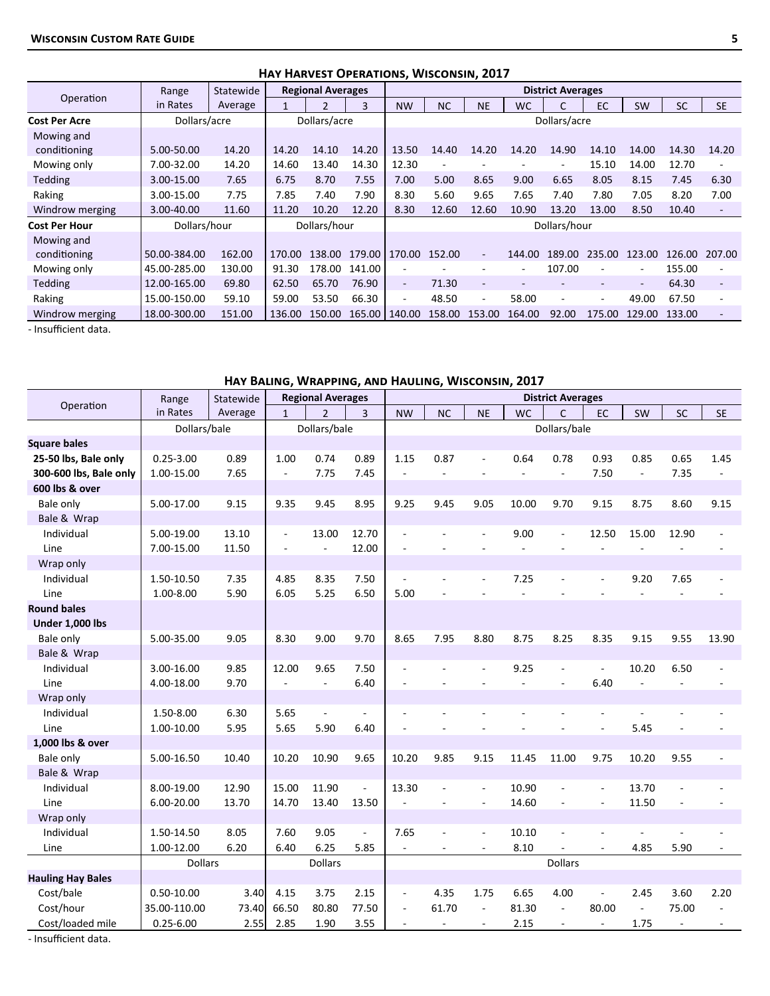|                      |              |           | <b>HAT HARVEST OPERATIONS, WISCONSIN, ZUIT</b> |                          |        |                          |           |           |                          |                          |        |           |           |                          |
|----------------------|--------------|-----------|------------------------------------------------|--------------------------|--------|--------------------------|-----------|-----------|--------------------------|--------------------------|--------|-----------|-----------|--------------------------|
|                      | Range        | Statewide |                                                | <b>Regional Averages</b> |        |                          |           |           |                          | <b>District Averages</b> |        |           |           |                          |
| Operation            | in Rates     | Average   |                                                | $\mathfrak z$            | 3      | <b>NW</b>                | <b>NC</b> | <b>NE</b> | <b>WC</b>                |                          | EC     | <b>SW</b> | <b>SC</b> | <b>SE</b>                |
| <b>Cost Per Acre</b> | Dollars/acre |           |                                                | Dollars/acre             |        |                          |           |           |                          | Dollars/acre             |        |           |           |                          |
| Mowing and           |              |           |                                                |                          |        |                          |           |           |                          |                          |        |           |           |                          |
| conditioning         | 5.00-50.00   | 14.20     | 14.20                                          | 14.10                    | 14.20  | 13.50                    | 14.40     | 14.20     | 14.20                    | 14.90                    | 14.10  | 14.00     | 14.30     | 14.20                    |
| Mowing only          | 7.00-32.00   | 14.20     | 14.60                                          | 13.40                    | 14.30  | 12.30                    |           |           |                          |                          | 15.10  | 14.00     | 12.70     |                          |
| <b>Tedding</b>       | 3.00-15.00   | 7.65      | 6.75                                           | 8.70                     | 7.55   | 7.00                     | 5.00      | 8.65      | 9.00                     | 6.65                     | 8.05   | 8.15      | 7.45      | 6.30                     |
| Raking               | 3.00-15.00   | 7.75      | 7.85                                           | 7.40                     | 7.90   | 8.30                     | 5.60      | 9.65      | 7.65                     | 7.40                     | 7.80   | 7.05      | 8.20      | 7.00                     |
| Windrow merging      | 3.00-40.00   | 11.60     | 11.20                                          | 10.20                    | 12.20  | 8.30                     | 12.60     | 12.60     | 10.90                    | 13.20                    | 13.00  | 8.50      | 10.40     | $\overline{\phantom{a}}$ |
| <b>Cost Per Hour</b> | Dollars/hour |           |                                                | Dollars/hour             |        |                          |           |           |                          | Dollars/hour             |        |           |           |                          |
| Mowing and           |              |           |                                                |                          |        |                          |           |           |                          |                          |        |           |           |                          |
| conditioning         | 50.00-384.00 | 162.00    | 170.00                                         | 138.00                   | 179.00 | 170.00                   | 152.00    |           | 144.00                   | 189.00                   | 235.00 | 123.00    | 126.00    | 207.00                   |
| Mowing only          | 45.00-285.00 | 130.00    | 91.30                                          | 178.00                   | 141.00 | ٠                        |           |           | $\overline{\phantom{a}}$ | 107.00                   |        | $\sim$    | 155.00    |                          |
| <b>Tedding</b>       | 12.00-165.00 | 69.80     | 62.50                                          | 65.70                    | 76.90  | $\overline{\phantom{a}}$ | 71.30     | ٠         |                          |                          | ٠      | Ξ.        | 64.30     | $\overline{\phantom{a}}$ |
| Raking               | 15.00-150.00 | 59.10     | 59.00                                          | 53.50                    | 66.30  | ۰                        | 48.50     |           | 58.00                    | ۰                        | ٠      | 49.00     | 67.50     |                          |
| Windrow merging      | 18.00-300.00 | 151.00    | 136.00                                         | 150.00                   | 165.00 | 140.00                   | 158.00    | 153.00    | 164.00                   | 92.00                    | 175.00 | 129.00    | 133.00    |                          |

#### **Hay Harvest Operations, Wisconsin, 2017**

- Insufficient data.

#### **Hay Baling, Wrapping, and Hauling, Wisconsin, 2017**

|                          | Range          | Statewide |                          | <b>Regional Averages</b> |                |                          |                          |                          |           | <b>District Averages</b> |                          |                |                          |           |
|--------------------------|----------------|-----------|--------------------------|--------------------------|----------------|--------------------------|--------------------------|--------------------------|-----------|--------------------------|--------------------------|----------------|--------------------------|-----------|
| Operation                | in Rates       | Average   | $\mathbf{1}$             | $\overline{\phantom{a}}$ | 3              | <b>NW</b>                | <b>NC</b>                | <b>NE</b>                | <b>WC</b> | $\mathsf{C}$             | <b>EC</b>                | SW             | SC                       | <b>SE</b> |
|                          | Dollars/bale   |           |                          | Dollars/bale             |                |                          |                          |                          |           | Dollars/bale             |                          |                |                          |           |
| <b>Square bales</b>      |                |           |                          |                          |                |                          |                          |                          |           |                          |                          |                |                          |           |
| 25-50 lbs, Bale only     | $0.25 - 3.00$  | 0.89      | 1.00                     | 0.74                     | 0.89           | 1.15                     | 0.87                     |                          | 0.64      | 0.78                     | 0.93                     | 0.85           | 0.65                     | 1.45      |
| 300-600 lbs, Bale only   | 1.00-15.00     | 7.65      | $\sim$                   | 7.75                     | 7.45           | $\overline{a}$           | ÷,                       |                          | ÷,        | $\omega$                 | 7.50                     | $\blacksquare$ | 7.35                     |           |
| 600 lbs & over           |                |           |                          |                          |                |                          |                          |                          |           |                          |                          |                |                          |           |
| Bale only                | 5.00-17.00     | 9.15      | 9.35                     | 9.45                     | 8.95           | 9.25                     | 9.45                     | 9.05                     | 10.00     | 9.70                     | 9.15                     | 8.75           | 8.60                     | 9.15      |
| Bale & Wrap              |                |           |                          |                          |                |                          |                          |                          |           |                          |                          |                |                          |           |
| Individual               | 5.00-19.00     | 13.10     | $\overline{\phantom{a}}$ | 13.00                    | 12.70          | $\overline{a}$           |                          |                          | 9.00      | $\Box$                   | 12.50                    | 15.00          | 12.90                    |           |
| Line                     | 7.00-15.00     | 11.50     |                          |                          | 12.00          |                          |                          |                          |           |                          |                          |                |                          |           |
| Wrap only                |                |           |                          |                          |                |                          |                          |                          |           |                          |                          |                |                          |           |
| Individual               | 1.50-10.50     | 7.35      | 4.85                     | 8.35                     | 7.50           | $\overline{\phantom{a}}$ |                          |                          | 7.25      | ÷,                       | $\overline{a}$           | 9.20           | 7.65                     |           |
| Line                     | 1.00-8.00      | 5.90      | 6.05                     | 5.25                     | 6.50           | 5.00                     |                          |                          |           |                          |                          |                |                          |           |
| <b>Round bales</b>       |                |           |                          |                          |                |                          |                          |                          |           |                          |                          |                |                          |           |
| <b>Under 1,000 lbs</b>   |                |           |                          |                          |                |                          |                          |                          |           |                          |                          |                |                          |           |
| Bale only                | 5.00-35.00     | 9.05      | 8.30                     | 9.00                     | 9.70           | 8.65                     | 7.95                     | 8.80                     | 8.75      | 8.25                     | 8.35                     | 9.15           | 9.55                     | 13.90     |
| Bale & Wrap              |                |           |                          |                          |                |                          |                          |                          |           |                          |                          |                |                          |           |
| Individual               | 3.00-16.00     | 9.85      | 12.00                    | 9.65                     | 7.50           | $\overline{\phantom{a}}$ |                          | $\sim$                   | 9.25      | $\overline{\phantom{a}}$ | $\overline{a}$           | 10.20          | 6.50                     |           |
| Line                     | 4.00-18.00     | 9.70      | $\overline{a}$           | $\overline{\phantom{a}}$ | 6.40           |                          |                          |                          |           | $\sim$                   | 6.40                     |                |                          |           |
| Wrap only                |                |           |                          |                          |                |                          |                          |                          |           |                          |                          |                |                          |           |
| Individual               | 1.50-8.00      | 6.30      | 5.65                     | $\sim$                   | L.             | $\sim$                   |                          |                          |           |                          |                          |                |                          |           |
| Line                     | 1.00-10.00     | 5.95      | 5.65                     | 5.90                     | 6.40           |                          |                          |                          |           |                          | $\overline{\phantom{a}}$ | 5.45           |                          |           |
| 1,000 lbs & over         |                |           |                          |                          |                |                          |                          |                          |           |                          |                          |                |                          |           |
| Bale only                | 5.00-16.50     | 10.40     | 10.20                    | 10.90                    | 9.65           | 10.20                    | 9.85                     | 9.15                     | 11.45     | 11.00                    | 9.75                     | 10.20          | 9.55                     |           |
| Bale & Wrap              |                |           |                          |                          |                |                          |                          |                          |           |                          |                          |                |                          |           |
| Individual               | 8.00-19.00     | 12.90     | 15.00                    | 11.90                    | $\overline{a}$ | 13.30                    | ÷,                       | $\overline{\phantom{a}}$ | 10.90     | ÷,                       | $\overline{\phantom{a}}$ | 13.70          |                          |           |
| Line                     | 6.00-20.00     | 13.70     | 14.70                    | 13.40                    | 13.50          | $\overline{\phantom{a}}$ | $\overline{a}$           | $\overline{\phantom{a}}$ | 14.60     | $\overline{\phantom{a}}$ | $\overline{\phantom{a}}$ | 11.50          |                          |           |
| Wrap only                |                |           |                          |                          |                |                          |                          |                          |           |                          |                          |                |                          |           |
| Individual               | 1.50-14.50     | 8.05      | 7.60                     | 9.05                     | L.             | 7.65                     |                          | $\overline{\phantom{a}}$ | 10.10     | ÷,                       |                          |                |                          |           |
| Line                     | 1.00-12.00     | 6.20      | 6.40                     | 6.25                     | 5.85           | $\blacksquare$           |                          | $\sim$                   | 8.10      |                          | ×.                       | 4.85           | 5.90                     |           |
|                          | <b>Dollars</b> |           |                          | <b>Dollars</b>           |                |                          |                          |                          |           | <b>Dollars</b>           |                          |                |                          |           |
| <b>Hauling Hay Bales</b> |                |           |                          |                          |                |                          |                          |                          |           |                          |                          |                |                          |           |
| Cost/bale                | $0.50 - 10.00$ | 3.40      | 4.15                     | 3.75                     | 2.15           | $\overline{\phantom{a}}$ | 4.35                     | 1.75                     | 6.65      | 4.00                     |                          | 2.45           | 3.60                     | 2.20      |
| Cost/hour                | 35.00-110.00   | 73.40     | 66.50                    | 80.80                    | 77.50          | $\overline{a}$           | 61.70                    | $\sim$                   | 81.30     | $\overline{\phantom{a}}$ | 80.00                    | ÷,             | 75.00                    |           |
| Cost/loaded mile         | $0.25 - 6.00$  | 2.55      | 2.85                     | 1.90                     | 3.55           |                          | $\overline{\phantom{a}}$ | $\overline{\phantom{a}}$ | 2.15      | $\overline{\phantom{a}}$ | $\overline{\phantom{a}}$ | 1.75           | $\overline{\phantom{a}}$ |           |

- Insufficient data.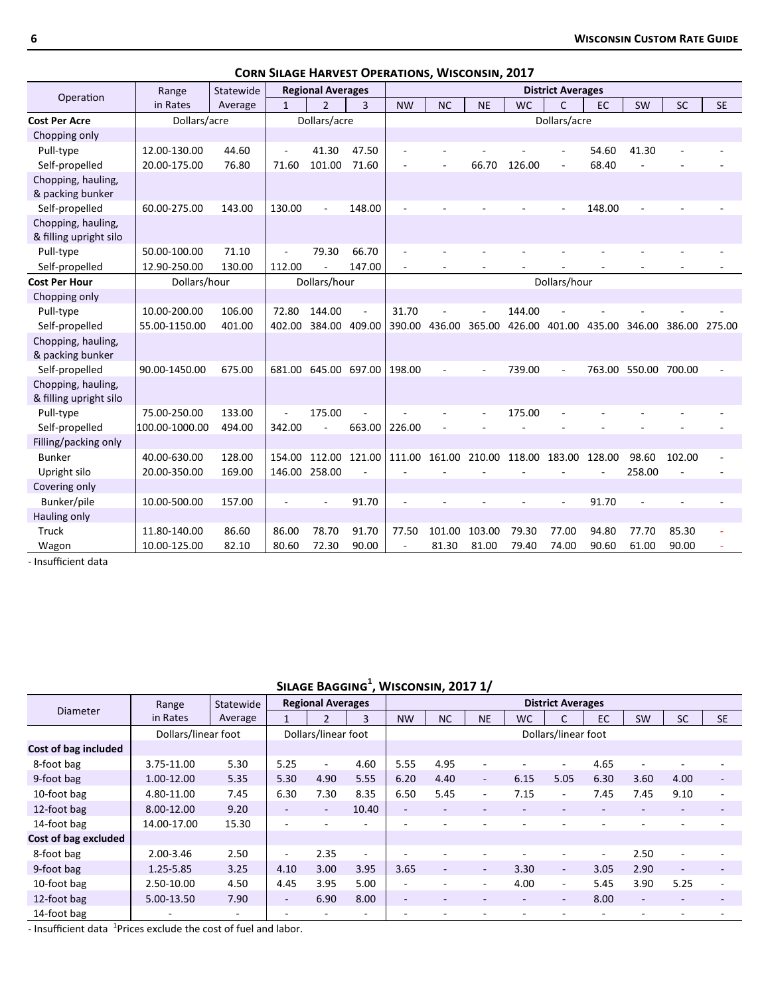|                        |                |           | CONN SILAGE HARVEST OF ERATIONS, |                          |                      |                          |           | THUCONJIN, LUI. |           |                          |               |                      |               |           |
|------------------------|----------------|-----------|----------------------------------|--------------------------|----------------------|--------------------------|-----------|-----------------|-----------|--------------------------|---------------|----------------------|---------------|-----------|
| Operation              | Range          | Statewide |                                  | <b>Regional Averages</b> |                      |                          |           |                 |           | <b>District Averages</b> |               |                      |               |           |
|                        | in Rates       | Average   | $\mathbf{1}$                     | $\overline{2}$           | $\overline{3}$       | <b>NW</b>                | <b>NC</b> | <b>NE</b>       | <b>WC</b> | $\mathsf{C}$             | EC            | SW                   | <b>SC</b>     | <b>SE</b> |
| <b>Cost Per Acre</b>   | Dollars/acre   |           |                                  | Dollars/acre             |                      |                          |           |                 |           | Dollars/acre             |               |                      |               |           |
| Chopping only          |                |           |                                  |                          |                      |                          |           |                 |           |                          |               |                      |               |           |
| Pull-type              | 12.00-130.00   | 44.60     |                                  | 41.30                    | 47.50                |                          |           |                 |           |                          | 54.60         | 41.30                |               |           |
| Self-propelled         | 20.00-175.00   | 76.80     | 71.60                            | 101.00                   | 71.60                |                          |           | 66.70           | 126.00    |                          | 68.40         |                      |               |           |
| Chopping, hauling,     |                |           |                                  |                          |                      |                          |           |                 |           |                          |               |                      |               |           |
| & packing bunker       |                |           |                                  |                          |                      |                          |           |                 |           |                          |               |                      |               |           |
| Self-propelled         | 60.00-275.00   | 143.00    | 130.00                           |                          | 148.00               |                          |           |                 |           |                          | 148.00        |                      |               |           |
| Chopping, hauling,     |                |           |                                  |                          |                      |                          |           |                 |           |                          |               |                      |               |           |
| & filling upright silo |                |           |                                  |                          |                      |                          |           |                 |           |                          |               |                      |               |           |
| Pull-type              | 50.00-100.00   | 71.10     | ÷,                               | 79.30                    | 66.70                |                          |           |                 |           |                          |               |                      |               |           |
| Self-propelled         | 12.90-250.00   | 130.00    | 112.00                           |                          | 147.00               |                          |           |                 |           |                          |               |                      |               |           |
| <b>Cost Per Hour</b>   | Dollars/hour   |           |                                  | Dollars/hour             |                      |                          |           |                 |           | Dollars/hour             |               |                      |               |           |
| Chopping only          |                |           |                                  |                          |                      |                          |           |                 |           |                          |               |                      |               |           |
| Pull-type              | 10.00-200.00   | 106.00    | 72.80                            | 144.00                   |                      | 31.70                    |           |                 | 144.00    |                          |               |                      |               |           |
| Self-propelled         | 55.00-1150.00  | 401.00    | 402.00                           | 384.00 409.00            |                      | 390.00                   | 436.00    | 365.00          | 426.00    | 401.00                   | 435.00 346.00 |                      | 386.00 275.00 |           |
| Chopping, hauling,     |                |           |                                  |                          |                      |                          |           |                 |           |                          |               |                      |               |           |
| & packing bunker       |                |           |                                  |                          |                      |                          |           |                 |           |                          |               |                      |               |           |
| Self-propelled         | 90.00-1450.00  | 675.00    | 681.00                           |                          | 645.00 697.00 198.00 |                          |           |                 | 739.00    |                          |               | 763.00 550.00 700.00 |               |           |
| Chopping, hauling,     |                |           |                                  |                          |                      |                          |           |                 |           |                          |               |                      |               |           |
| & filling upright silo |                |           |                                  |                          |                      |                          |           |                 |           |                          |               |                      |               |           |
| Pull-type              | 75.00-250.00   | 133.00    |                                  | 175.00                   |                      |                          |           |                 | 175.00    |                          |               |                      |               |           |
| Self-propelled         | 100.00-1000.00 | 494.00    | 342.00                           |                          | 663.00               | 226.00                   |           |                 |           |                          |               |                      |               |           |
| Filling/packing only   |                |           |                                  |                          |                      |                          |           |                 |           |                          |               |                      |               |           |
| <b>Bunker</b>          | 40.00-630.00   | 128.00    | 154.00                           | 112.00                   | 121.00               | 111.00                   |           | 161.00 210.00   | 118.00    | 183.00                   | 128.00        | 98.60                | 102.00        |           |
| Upright silo           | 20.00-350.00   | 169.00    | 146.00                           | 258.00                   |                      |                          |           |                 |           |                          |               | 258.00               | ÷,            |           |
| Covering only          |                |           |                                  |                          |                      |                          |           |                 |           |                          |               |                      |               |           |
| Bunker/pile            | 10.00-500.00   | 157.00    |                                  |                          | 91.70                |                          |           |                 |           |                          | 91.70         |                      |               |           |
| Hauling only           |                |           |                                  |                          |                      |                          |           |                 |           |                          |               |                      |               |           |
| Truck                  | 11.80-140.00   | 86.60     | 86.00                            | 78.70                    | 91.70                | 77.50                    | 101.00    | 103.00          | 79.30     | 77.00                    | 94.80         | 77.70                | 85.30         |           |
| Wagon                  | 10.00-125.00   | 82.10     | 80.60                            | 72.30                    | 90.00                | $\overline{\phantom{a}}$ | 81.30     | 81.00           | 79.40     | 74.00                    | 90.60         | 61.00                | 90.00         |           |

**Corn Silage Harvest Operations, Wisconsin, 2017**

- Insufficient data

**Silage Bagging<sup>1</sup> , Wisconsin, 2017 1/**

|                      | Range               | Statewide |                          | <b>Regional Averages</b> |                          |                          |                          |                          |           | <b>District Averages</b> |      |                          |                          |                          |
|----------------------|---------------------|-----------|--------------------------|--------------------------|--------------------------|--------------------------|--------------------------|--------------------------|-----------|--------------------------|------|--------------------------|--------------------------|--------------------------|
| <b>Diameter</b>      | in Rates            | Average   |                          | $\mathcal{P}$            | 3                        | <b>NW</b>                | <b>NC</b>                | <b>NE</b>                | <b>WC</b> | C                        | EC   | SW                       | <b>SC</b>                | <b>SE</b>                |
|                      | Dollars/linear foot |           |                          | Dollars/linear foot      |                          |                          |                          |                          |           | Dollars/linear foot      |      |                          |                          |                          |
| Cost of bag included |                     |           |                          |                          |                          |                          |                          |                          |           |                          |      |                          |                          |                          |
| 8-foot bag           | 3.75-11.00          | 5.30      | 5.25                     | $\blacksquare$           | 4.60                     | 5.55                     | 4.95                     |                          |           | $\overline{\phantom{0}}$ | 4.65 |                          |                          |                          |
| 9-foot bag           | 1.00-12.00          | 5.35      | 5.30                     | 4.90                     | 5.55                     | 6.20                     | 4.40                     | $\blacksquare$           | 6.15      | 5.05                     | 6.30 | 3.60                     | 4.00                     | $\overline{\phantom{a}}$ |
| 10-foot bag          | 4.80-11.00          | 7.45      | 6.30                     | 7.30                     | 8.35                     | 6.50                     | 5.45                     | $\overline{\phantom{a}}$ | 7.15      | $\overline{\phantom{0}}$ | 7.45 | 7.45                     | 9.10                     | ٠                        |
| 12-foot bag          | 8.00-12.00          | 9.20      | $\overline{\phantom{a}}$ | $\overline{\phantom{a}}$ | 10.40                    | $\sim$                   | $\overline{\phantom{a}}$ |                          |           | $\overline{\phantom{a}}$ |      | $\overline{\phantom{a}}$ | $\overline{\phantom{a}}$ | ۰                        |
| 14-foot bag          | 14.00-17.00         | 15.30     |                          |                          |                          |                          |                          |                          |           |                          |      |                          |                          |                          |
| Cost of bag excluded |                     |           |                          |                          |                          |                          |                          |                          |           |                          |      |                          |                          |                          |
| 8-foot bag           | 2.00-3.46           | 2.50      | ٠                        | 2.35                     | $\overline{\phantom{a}}$ |                          |                          |                          |           |                          |      | 2.50                     | $\overline{\phantom{a}}$ |                          |
| 9-foot bag           | 1.25-5.85           | 3.25      | 4.10                     | 3.00                     | 3.95                     | 3.65                     | ٠                        | $\overline{\phantom{a}}$ | 3.30      | $\sim$                   | 3.05 | 2.90                     | $\overline{\phantom{a}}$ |                          |
| 10-foot bag          | 2.50-10.00          | 4.50      | 4.45                     | 3.95                     | 5.00                     | ٠                        |                          | $\overline{\phantom{a}}$ | 4.00      | $\overline{\phantom{0}}$ | 5.45 | 3.90                     | 5.25                     | $\overline{\phantom{a}}$ |
| 12-foot bag          | 5.00-13.50          | 7.90      | ٠.                       | 6.90                     | 8.00                     | $\overline{\phantom{a}}$ |                          |                          | $\sim$    | ۰.                       | 8.00 | $\sim$                   | $\overline{a}$           | ٠                        |
| 14-foot bag          |                     |           |                          |                          | ٠                        |                          |                          |                          |           |                          |      |                          |                          |                          |

- Insufficient data  $1$ Prices exclude the cost of fuel and labor.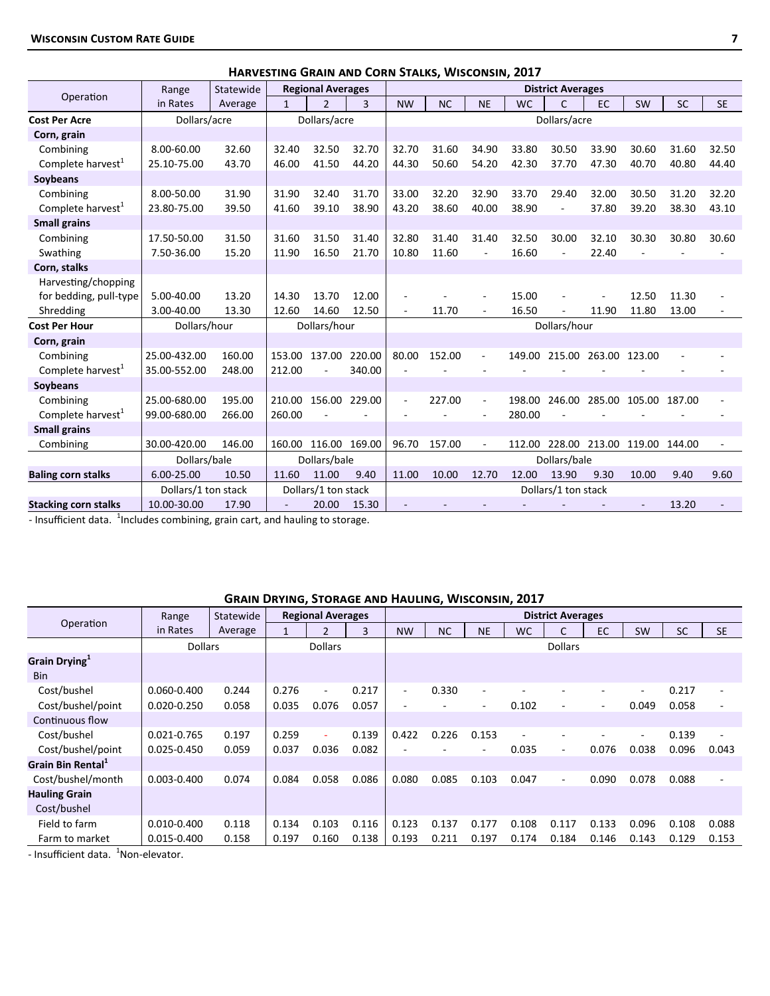|                               |                     |           |              |                          |        |                          | <b>HARVESTING GRAIN AND CORN STALKS, WISCONSIN, ZUIT</b> |           |           |                          |                      |                             |           |           |
|-------------------------------|---------------------|-----------|--------------|--------------------------|--------|--------------------------|----------------------------------------------------------|-----------|-----------|--------------------------|----------------------|-----------------------------|-----------|-----------|
|                               | Range               | Statewide |              | <b>Regional Averages</b> |        |                          |                                                          |           |           | <b>District Averages</b> |                      |                             |           |           |
| Operation                     | in Rates            | Average   | $\mathbf{1}$ | $\mathcal{P}$            | 3      | <b>NW</b>                | <b>NC</b>                                                | <b>NE</b> | <b>WC</b> | C                        | <b>EC</b>            | SW                          | <b>SC</b> | <b>SE</b> |
| <b>Cost Per Acre</b>          | Dollars/acre        |           |              | Dollars/acre             |        |                          |                                                          |           |           | Dollars/acre             |                      |                             |           |           |
| Corn, grain                   |                     |           |              |                          |        |                          |                                                          |           |           |                          |                      |                             |           |           |
| Combining                     | 8.00-60.00          | 32.60     | 32.40        | 32.50                    | 32.70  | 32.70                    | 31.60                                                    | 34.90     | 33.80     | 30.50                    | 33.90                | 30.60                       | 31.60     | 32.50     |
| Complete harvest <sup>1</sup> | 25.10-75.00         | 43.70     | 46.00        | 41.50                    | 44.20  | 44.30                    | 50.60                                                    | 54.20     | 42.30     | 37.70                    | 47.30                | 40.70                       | 40.80     | 44.40     |
| Soybeans                      |                     |           |              |                          |        |                          |                                                          |           |           |                          |                      |                             |           |           |
| Combining                     | 8.00-50.00          | 31.90     | 31.90        | 32.40                    | 31.70  | 33.00                    | 32.20                                                    | 32.90     | 33.70     | 29.40                    | 32.00                | 30.50                       | 31.20     | 32.20     |
| Complete harvest <sup>1</sup> | 23.80-75.00         | 39.50     | 41.60        | 39.10                    | 38.90  | 43.20                    | 38.60                                                    | 40.00     | 38.90     |                          | 37.80                | 39.20                       | 38.30     | 43.10     |
| <b>Small grains</b>           |                     |           |              |                          |        |                          |                                                          |           |           |                          |                      |                             |           |           |
| Combining                     | 17.50-50.00         | 31.50     | 31.60        | 31.50                    | 31.40  | 32.80                    | 31.40                                                    | 31.40     | 32.50     | 30.00                    | 32.10                | 30.30                       | 30.80     | 30.60     |
| Swathing                      | 7.50-36.00          | 15.20     | 11.90        | 16.50                    | 21.70  | 10.80                    | 11.60                                                    | ÷         | 16.60     | $\overline{\phantom{a}}$ | 22.40                |                             |           |           |
| Corn, stalks                  |                     |           |              |                          |        |                          |                                                          |           |           |                          |                      |                             |           |           |
| Harvesting/chopping           |                     |           |              |                          |        |                          |                                                          |           |           |                          |                      |                             |           |           |
| for bedding, pull-type        | 5.00-40.00          | 13.20     | 14.30        | 13.70                    | 12.00  |                          |                                                          |           | 15.00     |                          |                      | 12.50                       | 11.30     |           |
| Shredding                     | 3.00-40.00          | 13.30     | 12.60        | 14.60                    | 12.50  | ÷,                       | 11.70                                                    |           | 16.50     |                          | 11.90                | 11.80                       | 13.00     |           |
| Cost Per Hour                 | Dollars/hour        |           |              | Dollars/hour             |        |                          |                                                          |           |           | Dollars/hour             |                      |                             |           |           |
| Corn, grain                   |                     |           |              |                          |        |                          |                                                          |           |           |                          |                      |                             |           |           |
| Combining                     | 25.00-432.00        | 160.00    | 153.00       | 137.00                   | 220.00 | 80.00                    | 152.00                                                   |           | 149.00    |                          | 215.00 263.00 123.00 |                             |           |           |
| Complete harvest <sup>1</sup> | 35.00-552.00        | 248.00    | 212.00       |                          | 340.00 |                          |                                                          |           |           |                          |                      |                             |           |           |
| Soybeans                      |                     |           |              |                          |        |                          |                                                          |           |           |                          |                      |                             |           |           |
| Combining                     | 25.00-680.00        | 195.00    | 210.00       | 156.00                   | 229.00 | $\overline{\phantom{a}}$ | 227.00                                                   | ٠         | 198.00    | 246.00                   | 285.00               | 105.00                      | 187.00    |           |
| Complete harvest <sup>1</sup> | 99.00-680.00        | 266.00    | 260.00       |                          |        |                          |                                                          |           | 280.00    |                          |                      |                             |           |           |
| <b>Small grains</b>           |                     |           |              |                          |        |                          |                                                          |           |           |                          |                      |                             |           |           |
| Combining                     | 30.00-420.00        | 146.00    | 160.00       | 116.00 169.00            |        | 96.70                    | 157.00                                                   |           | 112.00    |                          |                      | 228.00 213.00 119.00 144.00 |           |           |
|                               | Dollars/bale        |           |              | Dollars/bale             |        |                          |                                                          |           |           | Dollars/bale             |                      |                             |           |           |
| <b>Baling corn stalks</b>     | 6.00-25.00          | 10.50     | 11.60        | 11.00                    | 9.40   | 11.00                    | 10.00                                                    | 12.70     | 12.00     | 13.90                    | 9.30                 | 10.00                       | 9.40      | 9.60      |
|                               | Dollars/1 ton stack |           |              | Dollars/1 ton stack      |        |                          |                                                          |           |           | Dollars/1 ton stack      |                      |                             |           |           |
| <b>Stacking corn stalks</b>   | 10.00-30.00         | 17.90     |              | 20.00                    | 15.30  |                          |                                                          |           |           |                          |                      | ÷,                          | 13.20     |           |

**Harvesting Grain and Corn Stalks, Wisconsin, 2017**

- Insufficient data.  $^{1}$ Includes combining, grain cart, and hauling to storage.

### **Grain Drying, Storage and Hauling, Wisconsin, 2017**

|                               | Range           | Statewide |       | <b>Regional Averages</b> |       |                          |           |           |           | <b>District Averages</b> |                          |           |           |                          |
|-------------------------------|-----------------|-----------|-------|--------------------------|-------|--------------------------|-----------|-----------|-----------|--------------------------|--------------------------|-----------|-----------|--------------------------|
| Operation                     | in Rates        | Average   |       | 2                        | 3     | <b>NW</b>                | <b>NC</b> | <b>NE</b> | <b>WC</b> | Ċ                        | EC                       | <b>SW</b> | <b>SC</b> | <b>SE</b>                |
|                               | <b>Dollars</b>  |           |       | <b>Dollars</b>           |       |                          |           |           |           | <b>Dollars</b>           |                          |           |           |                          |
| Grain Drying <sup>1</sup>     |                 |           |       |                          |       |                          |           |           |           |                          |                          |           |           |                          |
| <b>Bin</b>                    |                 |           |       |                          |       |                          |           |           |           |                          |                          |           |           |                          |
| Cost/bushel                   | 0.060-0.400     | 0.244     | 0.276 |                          | 0.217 | $\sim$                   | 0.330     | ٠         |           |                          |                          | ٠         | 0.217     | $\overline{\phantom{a}}$ |
| Cost/bushel/point             | $0.020 - 0.250$ | 0.058     | 0.035 | 0.076                    | 0.057 | $\overline{\phantom{a}}$ |           | ٠         | 0.102     | ٠                        | $\overline{\phantom{a}}$ | 0.049     | 0.058     | $\overline{\phantom{a}}$ |
| Continuous flow               |                 |           |       |                          |       |                          |           |           |           |                          |                          |           |           |                          |
| Cost/bushel                   | 0.021-0.765     | 0.197     | 0.259 |                          | 0.139 | 0.422                    | 0.226     | 0.153     |           |                          |                          | ٠         | 0.139     |                          |
| Cost/bushel/point             | 0.025-0.450     | 0.059     | 0.037 | 0.036                    | 0.082 |                          |           |           | 0.035     | ٠.                       | 0.076                    | 0.038     | 0.096     | 0.043                    |
| Grain Bin Rental <sup>1</sup> |                 |           |       |                          |       |                          |           |           |           |                          |                          |           |           |                          |
| Cost/bushel/month             | $0.003 - 0.400$ | 0.074     | 0.084 | 0.058                    | 0.086 | 0.080                    | 0.085     | 0.103     | 0.047     | ٠                        | 0.090                    | 0.078     | 0.088     | $\overline{\phantom{a}}$ |
| <b>Hauling Grain</b>          |                 |           |       |                          |       |                          |           |           |           |                          |                          |           |           |                          |
| Cost/bushel                   |                 |           |       |                          |       |                          |           |           |           |                          |                          |           |           |                          |
| Field to farm                 | $0.010 - 0.400$ | 0.118     | 0.134 | 0.103                    | 0.116 | 0.123                    | 0.137     | 0.177     | 0.108     | 0.117                    | 0.133                    | 0.096     | 0.108     | 0.088                    |
| Farm to market                | 0.015-0.400     | 0.158     | 0.197 | 0.160                    | 0.138 | 0.193                    | 0.211     | 0.197     | 0.174     | 0.184                    | 0.146                    | 0.143     | 0.129     | 0.153                    |

- Insufficient data. <sup>1</sup>Non-elevator.